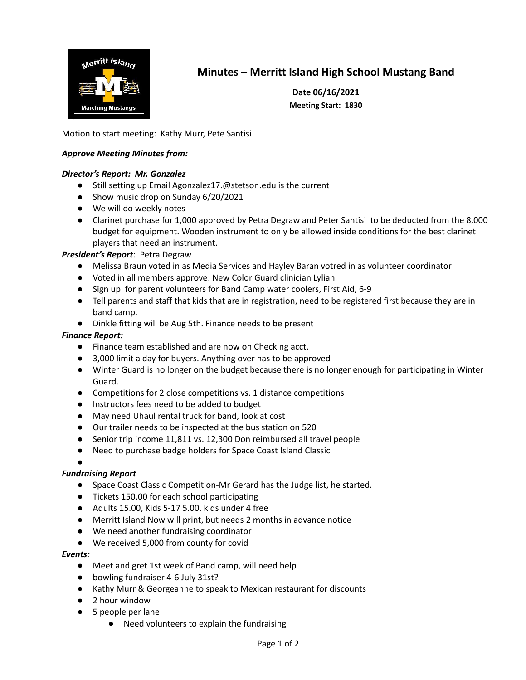

# **Minutes – Merritt Island High School Mustang Band**

**Date 06/16/2021 Meeting Start: 1830**

Motion to start meeting: Kathy Murr, Pete Santisi

### *Approve Meeting Minutes from:*

#### *Director's Report: Mr. Gonzalez*

- Still setting up Email Agonzalez17.@stetson.edu is the current
- Show music drop on Sunday 6/20/2021
- We will do weekly notes
- Clarinet purchase for 1,000 approved by Petra Degraw and Peter Santisi to be deducted from the 8,000 budget for equipment. Wooden instrument to only be allowed inside conditions for the best clarinet players that need an instrument.

#### *President's Report*: Petra Degraw

- Melissa Braun voted in as Media Services and Hayley Baran votred in as volunteer coordinator
- Voted in all members approve: New Color Guard clinician Lylian
- Sign up for parent volunteers for Band Camp water coolers, First Aid, 6-9
- Tell parents and staff that kids that are in registration, need to be registered first because they are in band camp.
- Dinkle fitting will be Aug 5th. Finance needs to be present

### *Finance Report:*

- Finance team established and are now on Checking acct.
- 3,000 limit a day for buyers. Anything over has to be approved
- Winter Guard is no longer on the budget because there is no longer enough for participating in Winter Guard.
- Competitions for 2 close competitions vs. 1 distance competitions
- Instructors fees need to be added to budget
- May need Uhaul rental truck for band, look at cost
- Our trailer needs to be inspected at the bus station on 520
- Senior trip income 11,811 vs. 12,300 Don reimbursed all travel people
- Need to purchase badge holders for Space Coast Island Classic
- ●

#### *Fundraising Report*

- Space Coast Classic Competition-Mr Gerard has the Judge list, he started.
- Tickets 150.00 for each school participating
- Adults 15.00, Kids 5-17 5.00, kids under 4 free
- Merritt Island Now will print, but needs 2 months in advance notice
- We need another fundraising coordinator
- We received 5,000 from county for covid

#### *Events:*

- Meet and gret 1st week of Band camp, will need help
- bowling fundraiser 4-6 July 31st?
- Kathy Murr & Georgeanne to speak to Mexican restaurant for discounts
- 2 hour window
- 5 people per lane
	- Need volunteers to explain the fundraising